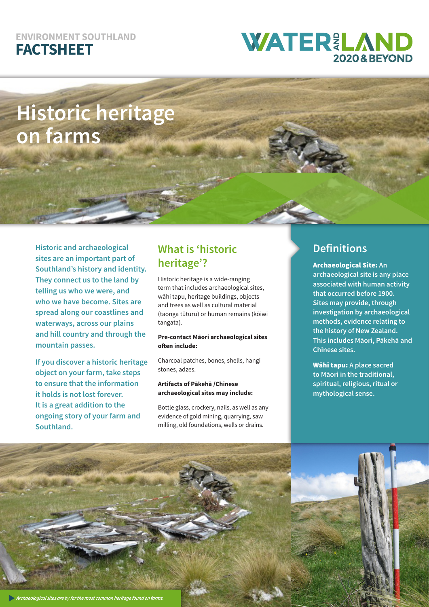### **ENVIRONMENT SOUTHLAND FACTSHEET**

## **WATER&LAND 2020 & BEYOND**

# **Historic heritage on farms**

**Historic and archaeological sites are an important part of Southland's history and identity. They connect us to the land by telling us who we were, and who we have become. Sites are spread along our coastlines and waterways, across our plains and hill country and through the mountain passes.**

**If you discover a historic heritage object on your farm, take steps to ensure that the information it holds is not lost forever. It is a great addition to the ongoing story of your farm and Southland.**

### **What is 'historic heritage'?**

Historic heritage is a wide-ranging term that includes archaeological sites, wāhi tapu, heritage buildings, objects and trees as well as cultural material (taonga tūturu) or human remains (kōiwi tangata).

#### **Pre-contact Māori archaeological sites often include:**

Charcoal patches, bones, shells, hangi stones, adzes.

**Artifacts of Pākehā /Chinese archaeological sites may include:**

Bottle glass, crockery, nails, as well as any evidence of gold mining, quarrying, saw milling, old foundations, wells or drains.

### **Definitions**

Archaeological Site: **An archaeological site is any place associated with human activity that occurred before 1900. Sites may provide, through investigation by archaeological methods, evidence relating to the history of New Zealand. This includes Māori, Pākehā and Chinese sites.**

Wāhi tapu: **A place sacred to Māori in the traditional, spiritual, religious, ritual or mythological sense.**